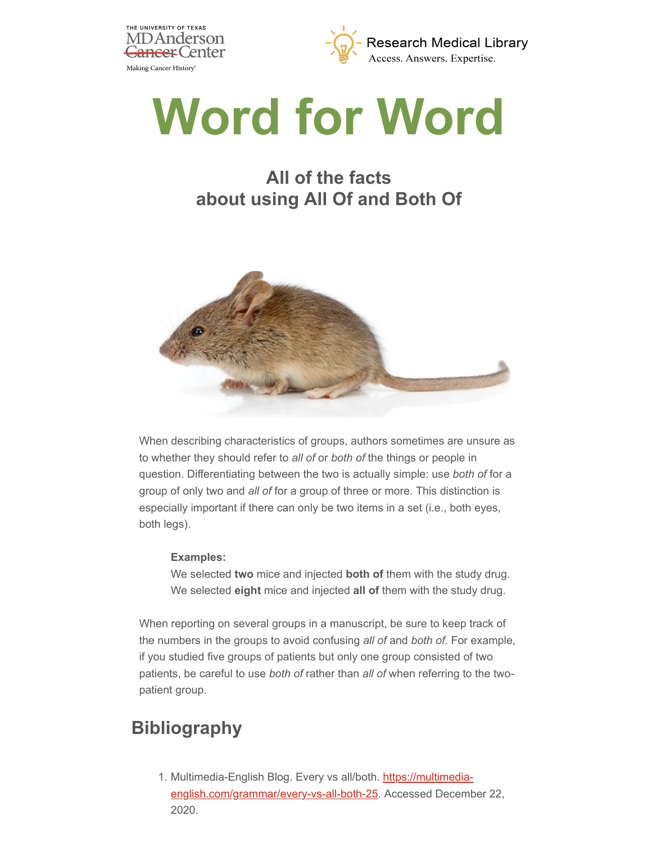



## **Word for Word**

## **All of the facts about using All Of and Both Of**



When describing characteristics of groups, authors sometimes are unsure as to whether they should refer to *all of* or *both of* the things or people in question. Differentiating between the two is actually simple: use *both of* for a group of only two and *all of* for a group of three or more. This distinction is especially important if there can only be two items in a set (i.e., both eyes, both legs).

## **Examples:**

We selected **two** mice and injected **both of** them with the study drug. We selected **eight** mice and injected **all of** them with the study drug.

When reporting on several groups in a manuscript, be sure to keep track of the numbers in the groups to avoid confusing *all of* and *both of*. For example, if you studied five groups of patients but only one group consisted of two patients, be careful to use *both of* rather than *all of* when referring to the twopatient group.

## **Bibliography**

1. Multimedia-English Blog. Every vs all/both. https://multimedia[english.com/grammar/every-vs-all-both-25. Accessed Decemb](https://multimedia-english.com/grammar/every-vs-all-both-25)er 22, 2020.